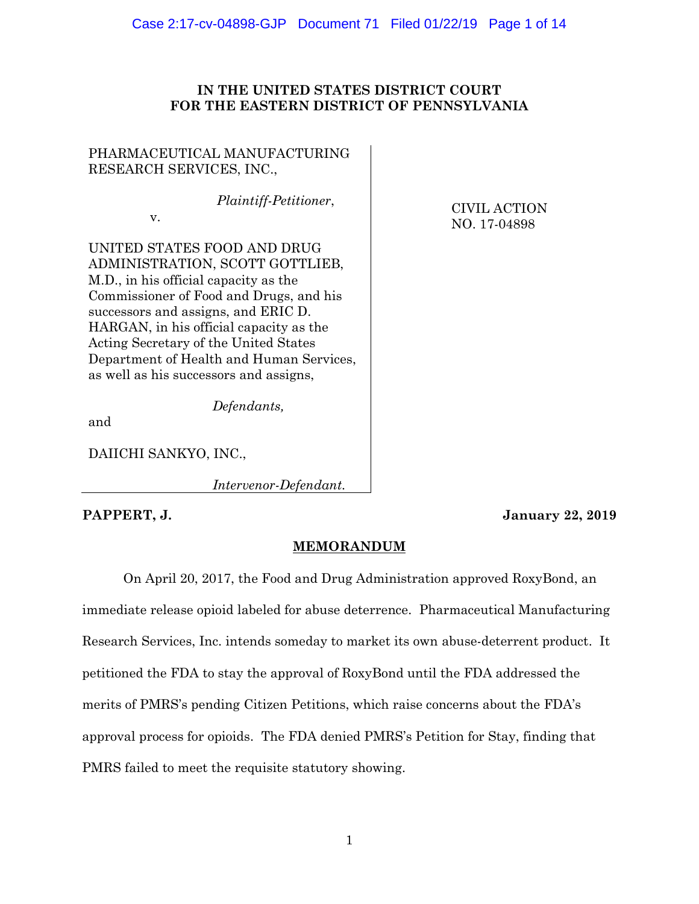## Case 2:17-cv-04898-GJP Document 71 Filed 01/22/19 Page 1 of 14

# **IN THE UNITED STATES DISTRICT COURT FOR THE EASTERN DISTRICT OF PENNSYLVANIA**

PHARMACEUTICAL MANUFACTURING RESEARCH SERVICES, INC.,

*Plaintiff-Petitioner*,

v.

CIVIL ACTION NO. 17-04898

UNITED STATES FOOD AND DRUG ADMINISTRATION, SCOTT GOTTLIEB, M.D., in his official capacity as the Commissioner of Food and Drugs, and his successors and assigns, and ERIC D. HARGAN, in his official capacity as the Acting Secretary of the United States Department of Health and Human Services, as well as his successors and assigns,

 *Defendants,*

and

DAIICHI SANKYO, INC.,

 *Intervenor-Defendant.*

**PAPPERT, J. January 22, 2019**

# **MEMORANDUM**

On April 20, 2017, the Food and Drug Administration approved RoxyBond, an immediate release opioid labeled for abuse deterrence. Pharmaceutical Manufacturing Research Services, Inc. intends someday to market its own abuse-deterrent product. It petitioned the FDA to stay the approval of RoxyBond until the FDA addressed the merits of PMRS's pending Citizen Petitions, which raise concerns about the FDA's approval process for opioids. The FDA denied PMRS's Petition for Stay, finding that PMRS failed to meet the requisite statutory showing.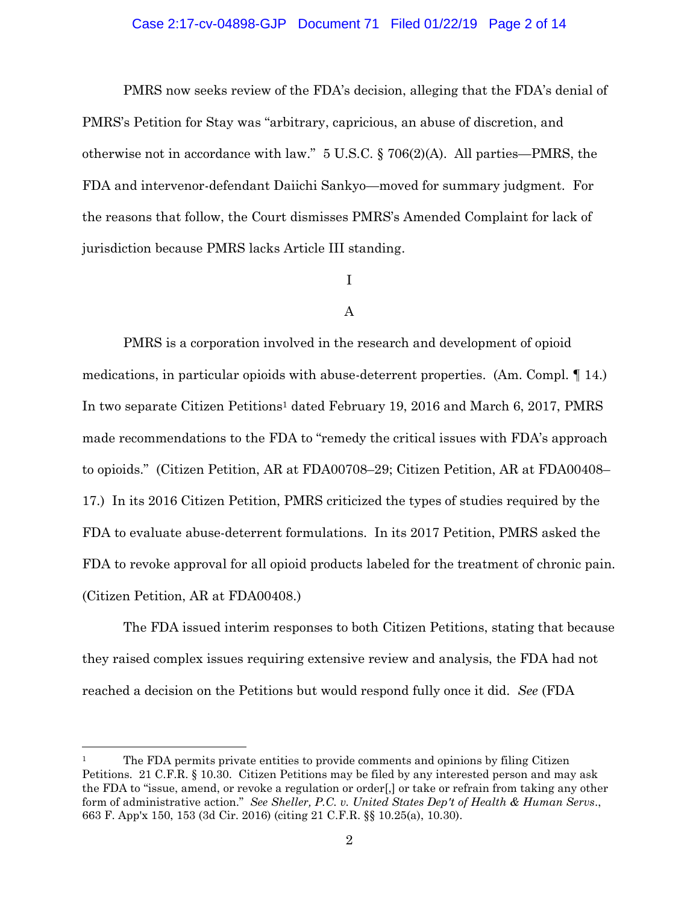## Case 2:17-cv-04898-GJP Document 71 Filed 01/22/19 Page 2 of 14

PMRS now seeks review of the FDA's decision, alleging that the FDA's denial of PMRS's Petition for Stay was "arbitrary, capricious, an abuse of discretion, and otherwise not in accordance with law." 5 U.S.C. § 706(2)(A). All parties—PMRS, the FDA and intervenor-defendant Daiichi Sankyo—moved for summary judgment. For the reasons that follow, the Court dismisses PMRS's Amended Complaint for lack of jurisdiction because PMRS lacks Article III standing.

## I

#### A

PMRS is a corporation involved in the research and development of opioid medications, in particular opioids with abuse-deterrent properties. (Am. Compl. ¶ 14.) In two separate Citizen Petitions <sup>1</sup> dated February 19, 2016 and March 6, 2017, PMRS made recommendations to the FDA to "remedy the critical issues with FDA's approach to opioids." (Citizen Petition, AR at FDA00708–29; Citizen Petition, AR at FDA00408– 17.) In its 2016 Citizen Petition, PMRS criticized the types of studies required by the FDA to evaluate abuse-deterrent formulations. In its 2017 Petition, PMRS asked the FDA to revoke approval for all opioid products labeled for the treatment of chronic pain. (Citizen Petition, AR at FDA00408.)

The FDA issued interim responses to both Citizen Petitions, stating that because they raised complex issues requiring extensive review and analysis, the FDA had not reached a decision on the Petitions but would respond fully once it did. *See* (FDA

<sup>1</sup> The FDA permits private entities to provide comments and opinions by filing Citizen Petitions. 21 C.F.R. § 10.30. Citizen Petitions may be filed by any interested person and may ask the FDA to "issue, amend, or revoke a regulation or order[,] or take or refrain from taking any other form of administrative action." *See Sheller, P.C. v. United States Dep't of Health & Human Servs*., 663 F. App'x 150, 153 (3d Cir. 2016) (citing 21 C.F.R. §§ 10.25(a), 10.30).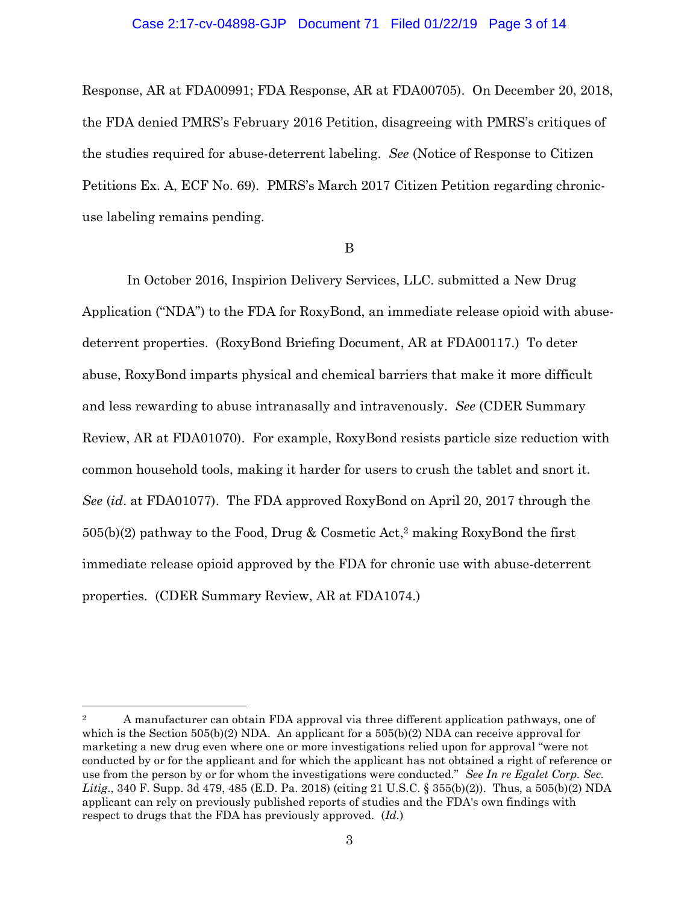# Case 2:17-cv-04898-GJP Document 71 Filed 01/22/19 Page 3 of 14

Response, AR at FDA00991; FDA Response, AR at FDA00705). On December 20, 2018, the FDA denied PMRS's February 2016 Petition, disagreeing with PMRS's critiques of the studies required for abuse-deterrent labeling. *See* (Notice of Response to Citizen Petitions Ex. A, ECF No. 69). PMRS's March 2017 Citizen Petition regarding chronicuse labeling remains pending.

#### B

In October 2016, Inspirion Delivery Services, LLC. submitted a New Drug Application ("NDA") to the FDA for RoxyBond, an immediate release opioid with abusedeterrent properties. (RoxyBond Briefing Document, AR at FDA00117.) To deter abuse, RoxyBond imparts physical and chemical barriers that make it more difficult and less rewarding to abuse intranasally and intravenously. *See* (CDER Summary Review, AR at FDA01070). For example, RoxyBond resists particle size reduction with common household tools, making it harder for users to crush the tablet and snort it. *See* (*id*. at FDA01077). The FDA approved RoxyBond on April 20, 2017 through the 505(b)(2) pathway to the Food, Drug & Cosmetic Act, <sup>2</sup> making RoxyBond the first immediate release opioid approved by the FDA for chronic use with abuse-deterrent properties. (CDER Summary Review, AR at FDA1074.)

 $\overline{\phantom{a}}$ 

<sup>&</sup>lt;sup>2</sup> A manufacturer can obtain FDA approval via three different application pathways, one of which is the Section  $505(b)(2)$  NDA. An applicant for a  $505(b)(2)$  NDA can receive approval for marketing a new drug even where one or more investigations relied upon for approval "were not conducted by or for the applicant and for which the applicant has not obtained a right of reference or use from the person by or for whom the investigations were conducted." *See In re Egalet Corp. Sec. Litig*., 340 F. Supp. 3d 479, 485 (E.D. Pa. 2018) (citing 21 U.S.C. § 355(b)(2)). Thus, a 505(b)(2) NDA applicant can rely on previously published reports of studies and the FDA's own findings with respect to drugs that the FDA has previously approved. (*Id.*)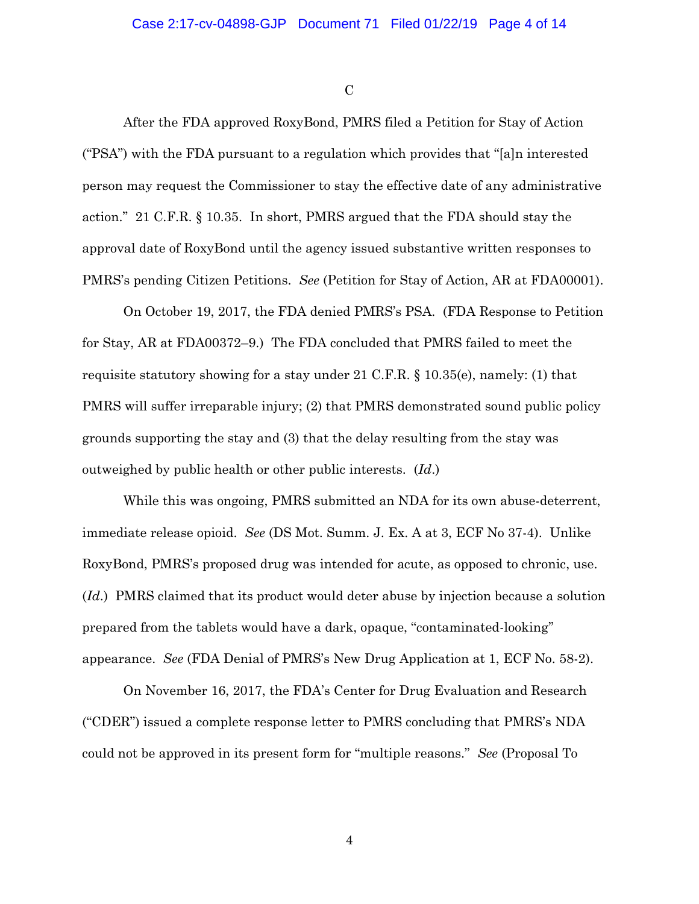$\mathcal{C}$ 

After the FDA approved RoxyBond, PMRS filed a Petition for Stay of Action ("PSA") with the FDA pursuant to a regulation which provides that "[a]n interested person may request the Commissioner to stay the effective date of any administrative action." 21 C.F.R. § 10.35. In short, PMRS argued that the FDA should stay the approval date of RoxyBond until the agency issued substantive written responses to PMRS's pending Citizen Petitions. *See* (Petition for Stay of Action, AR at FDA00001).

On October 19, 2017, the FDA denied PMRS's PSA. (FDA Response to Petition for Stay, AR at FDA00372–9.) The FDA concluded that PMRS failed to meet the requisite statutory showing for a stay under 21 C.F.R. § 10.35(e), namely: (1) that PMRS will suffer irreparable injury; (2) that PMRS demonstrated sound public policy grounds supporting the stay and (3) that the delay resulting from the stay was outweighed by public health or other public interests. (*Id*.)

While this was ongoing, PMRS submitted an NDA for its own abuse-deterrent, immediate release opioid. *See* (DS Mot. Summ. J. Ex. A at 3, ECF No 37-4). Unlike RoxyBond, PMRS's proposed drug was intended for acute, as opposed to chronic, use. (*Id*.) PMRS claimed that its product would deter abuse by injection because a solution prepared from the tablets would have a dark, opaque, ''contaminated-looking'' appearance. *See* (FDA Denial of PMRS's New Drug Application at 1, ECF No. 58-2).

On November 16, 2017, the FDA's Center for Drug Evaluation and Research ("CDER") issued a complete response letter to PMRS concluding that PMRS's NDA could not be approved in its present form for "multiple reasons." *See* (Proposal To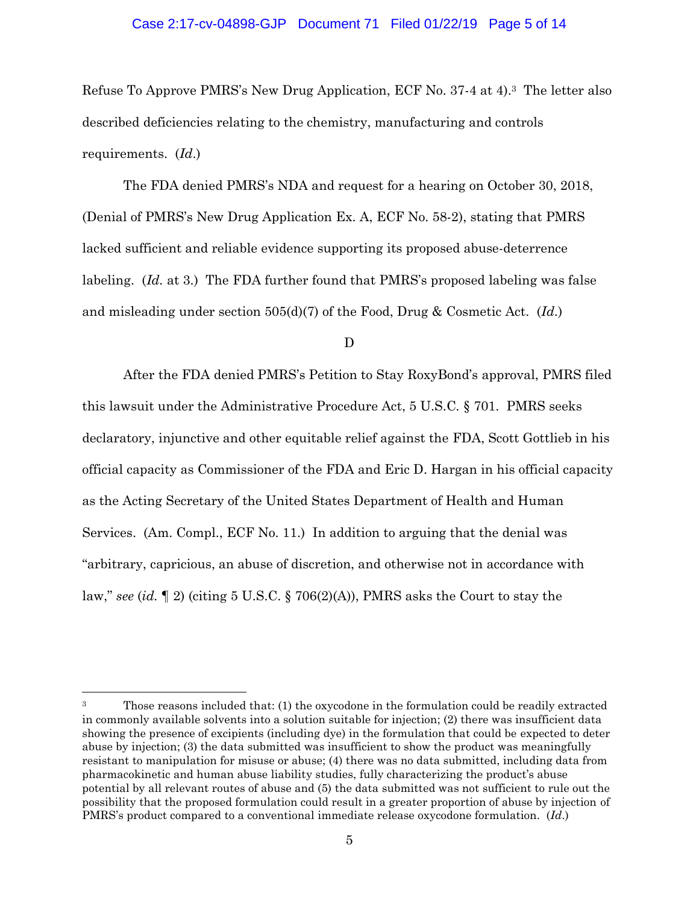## Case 2:17-cv-04898-GJP Document 71 Filed 01/22/19 Page 5 of 14

Refuse To Approve PMRS's New Drug Application, ECF No. 37-4 at 4). <sup>3</sup> The letter also described deficiencies relating to the chemistry, manufacturing and controls requirements. (*Id*.)

The FDA denied PMRS's NDA and request for a hearing on October 30, 2018, (Denial of PMRS's New Drug Application Ex. A, ECF No. 58-2), stating that PMRS lacked sufficient and reliable evidence supporting its proposed abuse-deterrence labeling. (*Id.* at 3.) The FDA further found that PMRS's proposed labeling was false and misleading under section 505(d)(7) of the Food, Drug & Cosmetic Act. (*Id*.)

D

After the FDA denied PMRS's Petition to Stay RoxyBond's approval, PMRS filed this lawsuit under the Administrative Procedure Act, 5 U.S.C. § 701. PMRS seeks declaratory, injunctive and other equitable relief against the FDA, Scott Gottlieb in his official capacity as Commissioner of the FDA and Eric D. Hargan in his official capacity as the Acting Secretary of the United States Department of Health and Human Services. (Am. Compl., ECF No. 11.) In addition to arguing that the denial was "arbitrary, capricious, an abuse of discretion, and otherwise not in accordance with law," *see* (*id.* ¶ 2) (citing 5 U.S.C. § 706(2)(A)), PMRS asks the Court to stay the

 $\overline{\phantom{a}}$ 

<sup>&</sup>lt;sup>3</sup> Those reasons included that: (1) the oxycodone in the formulation could be readily extracted in commonly available solvents into a solution suitable for injection; (2) there was insufficient data showing the presence of excipients (including dye) in the formulation that could be expected to deter abuse by injection; (3) the data submitted was insufficient to show the product was meaningfully resistant to manipulation for misuse or abuse; (4) there was no data submitted, including data from pharmacokinetic and human abuse liability studies, fully characterizing the product's abuse potential by all relevant routes of abuse and (5) the data submitted was not sufficient to rule out the possibility that the proposed formulation could result in a greater proportion of abuse by injection of PMRS's product compared to a conventional immediate release oxycodone formulation. (*Id*.)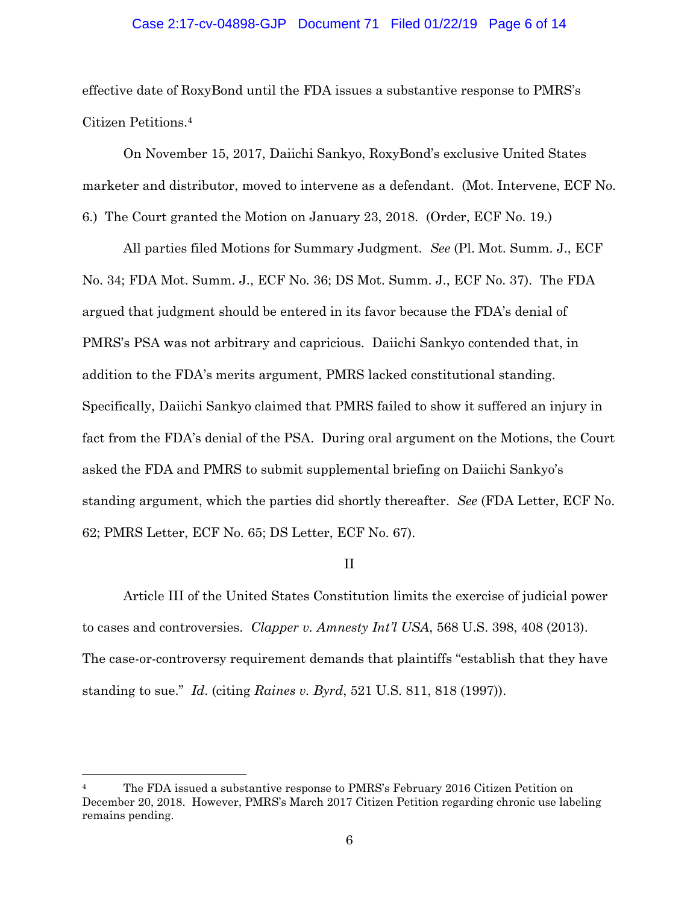## Case 2:17-cv-04898-GJP Document 71 Filed 01/22/19 Page 6 of 14

effective date of RoxyBond until the FDA issues a substantive response to PMRS's Citizen Petitions.<sup>4</sup>

On November 15, 2017, Daiichi Sankyo, RoxyBond's exclusive United States marketer and distributor, moved to intervene as a defendant. (Mot. Intervene, ECF No. 6.) The Court granted the Motion on January 23, 2018. (Order, ECF No. 19.)

All parties filed Motions for Summary Judgment. *See* (Pl. Mot. Summ. J., ECF No. 34; FDA Mot. Summ. J., ECF No. 36; DS Mot. Summ. J., ECF No. 37). The FDA argued that judgment should be entered in its favor because the FDA's denial of PMRS's PSA was not arbitrary and capricious. Daiichi Sankyo contended that, in addition to the FDA's merits argument, PMRS lacked constitutional standing. Specifically, Daiichi Sankyo claimed that PMRS failed to show it suffered an injury in fact from the FDA's denial of the PSA. During oral argument on the Motions, the Court asked the FDA and PMRS to submit supplemental briefing on Daiichi Sankyo's standing argument, which the parties did shortly thereafter. *See* (FDA Letter, ECF No. 62; PMRS Letter, ECF No. 65; DS Letter, ECF No. 67).

II

Article III of the United States Constitution limits the exercise of judicial power to cases and controversies. *Clapper v. Amnesty Int'l USA*, 568 U.S. 398, 408 (2013). The case-or-controversy requirement demands that plaintiffs "establish that they have standing to sue." *Id*. (citing *Raines v. Byrd*, 521 U.S. 811, 818 (1997)).

<sup>4</sup> The FDA issued a substantive response to PMRS's February 2016 Citizen Petition on December 20, 2018. However, PMRS's March 2017 Citizen Petition regarding chronic use labeling remains pending.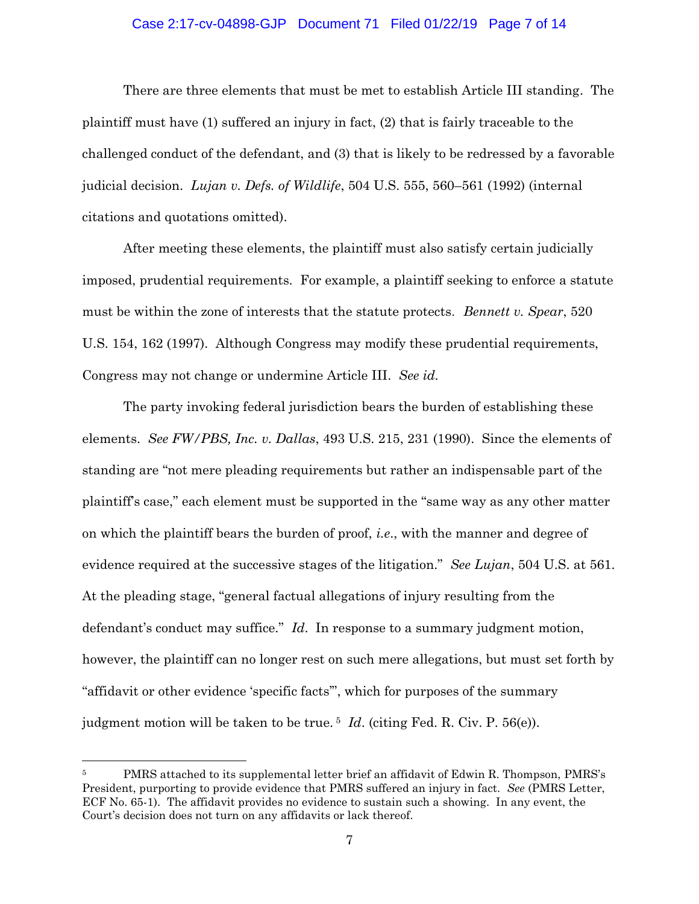## Case 2:17-cv-04898-GJP Document 71 Filed 01/22/19 Page 7 of 14

There are three elements that must be met to establish Article III standing. The plaintiff must have (1) suffered an injury in fact, (2) that is fairly traceable to the challenged conduct of the defendant, and (3) that is likely to be redressed by a favorable judicial decision. *Lujan v. Defs. of Wildlife*, 504 U.S. 555, 560–561 (1992) (internal citations and quotations omitted).

After meeting these elements, the plaintiff must also satisfy certain judicially imposed, prudential requirements. For example, a plaintiff seeking to enforce a statute must be within the zone of interests that the statute protects. *Bennett v. Spear*, 520 U.S. 154, 162 (1997). Although Congress may modify these prudential requirements, Congress may not change or undermine Article III. *See id.*

The party invoking federal jurisdiction bears the burden of establishing these elements. *See FW/PBS, Inc. v. Dallas*, 493 U.S. 215, 231 (1990). Since the elements of standing are "not mere pleading requirements but rather an indispensable part of the plaintiff's case," each element must be supported in the "same way as any other matter on which the plaintiff bears the burden of proof, *i.e*., with the manner and degree of evidence required at the successive stages of the litigation." *See Lujan*, 504 U.S. at 561. At the pleading stage, "general factual allegations of injury resulting from the defendant's conduct may suffice." *Id*. In response to a summary judgment motion, however, the plaintiff can no longer rest on such mere allegations, but must set forth by "affidavit or other evidence 'specific facts'", which for purposes of the summary judgment motion will be taken to be true. <sup>5</sup> *Id*. (citing Fed. R. Civ. P. 56(e)).

<sup>5</sup> PMRS attached to its supplemental letter brief an affidavit of Edwin R. Thompson, PMRS's President, purporting to provide evidence that PMRS suffered an injury in fact. *See* (PMRS Letter, ECF No. 65-1). The affidavit provides no evidence to sustain such a showing. In any event, the Court's decision does not turn on any affidavits or lack thereof.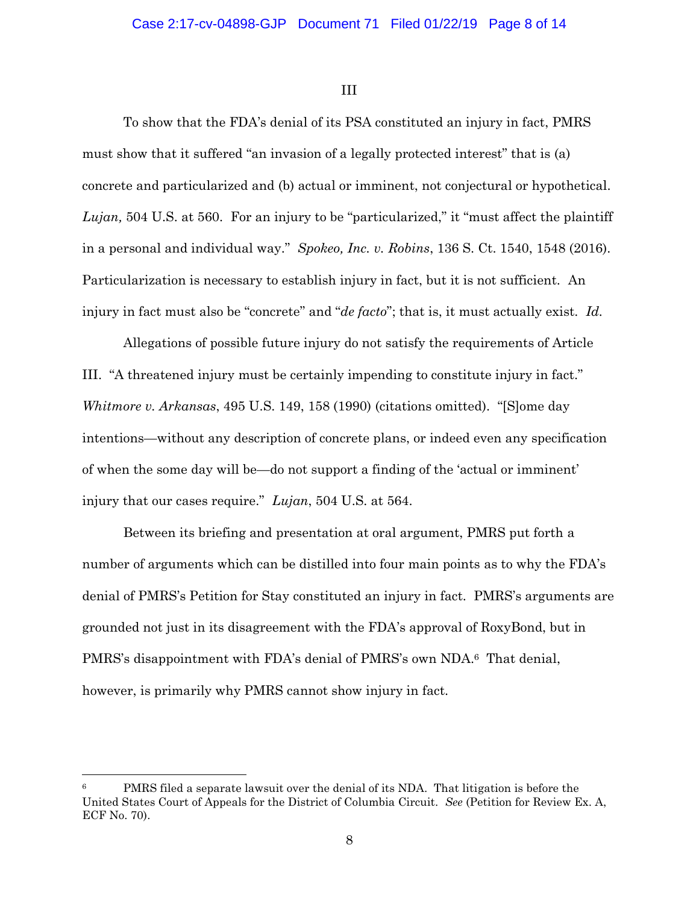III

To show that the FDA's denial of its PSA constituted an injury in fact, PMRS must show that it suffered "an invasion of a legally protected interest" that is (a) concrete and particularized and (b) actual or imminent, not conjectural or hypothetical. *Lujan,* 504 U.S. at 560. For an injury to be "particularized," it "must affect the plaintiff in a personal and individual way." *Spokeo, Inc. v. Robins*, 136 S. Ct. 1540, 1548 (2016). Particularization is necessary to establish injury in fact, but it is not sufficient. An injury in fact must also be "concrete" and "*de facto*"; that is, it must actually exist. *Id.*

Allegations of possible future injury do not satisfy the requirements of Article III. "A threatened injury must be certainly impending to constitute injury in fact." *Whitmore v. Arkansas*, 495 U.S. 149, 158 (1990) (citations omitted). "[S]ome day intentions—without any description of concrete plans, or indeed even any specification of when the some day will be—do not support a finding of the 'actual or imminent' injury that our cases require." *Lujan*, 504 U.S. at 564.

Between its briefing and presentation at oral argument, PMRS put forth a number of arguments which can be distilled into four main points as to why the FDA's denial of PMRS's Petition for Stay constituted an injury in fact. PMRS's arguments are grounded not just in its disagreement with the FDA's approval of RoxyBond, but in PMRS's disappointment with FDA's denial of PMRS's own NDA. <sup>6</sup> That denial, however, is primarily why PMRS cannot show injury in fact.

PMRS filed a separate lawsuit over the denial of its NDA. That litigation is before the United States Court of Appeals for the District of Columbia Circuit. *See* (Petition for Review Ex. A, ECF No. 70).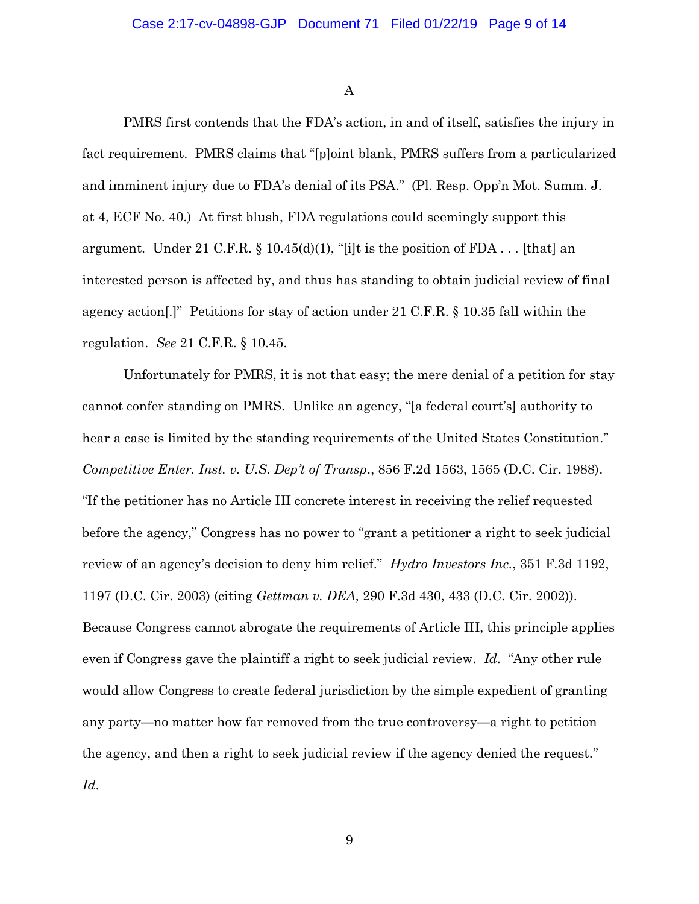A

PMRS first contends that the FDA's action, in and of itself, satisfies the injury in fact requirement. PMRS claims that "[p]oint blank, PMRS suffers from a particularized and imminent injury due to FDA's denial of its PSA." (Pl. Resp. Opp'n Mot. Summ. J. at 4, ECF No. 40.) At first blush, FDA regulations could seemingly support this argument. Under 21 C.F.R.  $\S$  10.45(d)(1), "[i]t is the position of FDA... [that] an interested person is affected by, and thus has standing to obtain judicial review of final agency action[.]" Petitions for stay of action under 21 C.F.R. § 10.35 fall within the regulation. *See* 21 C.F.R. § 10.45.

Unfortunately for PMRS, it is not that easy; the mere denial of a petition for stay cannot confer standing on PMRS. Unlike an agency, "[a federal court's] authority to hear a case is limited by the standing requirements of the United States Constitution." *Competitive Enter. Inst. v. U.S. Dep't of Transp*., 856 F.2d 1563, 1565 (D.C. Cir. 1988). "If the petitioner has no Article III concrete interest in receiving the relief requested before the agency," Congress has no power to "grant a petitioner a right to seek judicial review of an agency's decision to deny him relief." *Hydro Investors Inc.*, 351 F.3d 1192, 1197 (D.C. Cir. 2003) (citing *Gettman v. DEA*, 290 F.3d 430, 433 (D.C. Cir. 2002)). Because Congress cannot abrogate the requirements of Article III, this principle applies even if Congress gave the plaintiff a right to seek judicial review. *Id*. "Any other rule would allow Congress to create federal jurisdiction by the simple expedient of granting any party—no matter how far removed from the true controversy—a right to petition the agency, and then a right to seek judicial review if the agency denied the request." *Id*.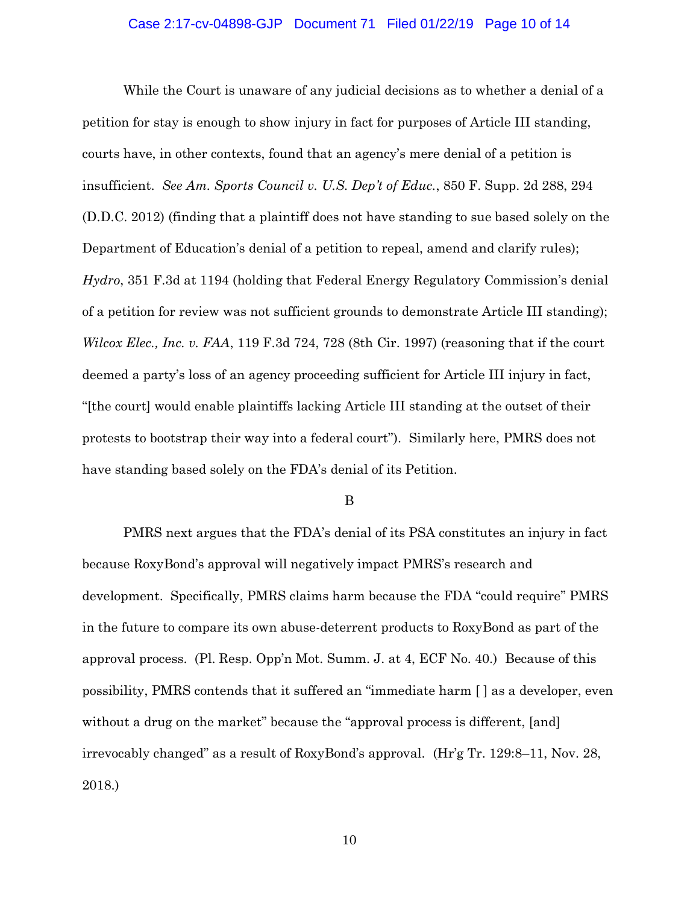#### Case 2:17-cv-04898-GJP Document 71 Filed 01/22/19 Page 10 of 14

While the Court is unaware of any judicial decisions as to whether a denial of a petition for stay is enough to show injury in fact for purposes of Article III standing, courts have, in other contexts, found that an agency's mere denial of a petition is insufficient. *See Am. Sports Council v. U.S. Dep't of Educ.*, 850 F. Supp. 2d 288, 294 (D.D.C. 2012) (finding that a plaintiff does not have standing to sue based solely on the Department of Education's denial of a petition to repeal, amend and clarify rules); *Hydro*, 351 F.3d at 1194 (holding that Federal Energy Regulatory Commission's denial of a petition for review was not sufficient grounds to demonstrate Article III standing); *Wilcox Elec., Inc. v. FAA*, 119 F.3d 724, 728 (8th Cir. 1997) (reasoning that if the court deemed a party's loss of an agency proceeding sufficient for Article III injury in fact, "[the court] would enable plaintiffs lacking Article III standing at the outset of their protests to bootstrap their way into a federal court"). Similarly here, PMRS does not have standing based solely on the FDA's denial of its Petition.

B

PMRS next argues that the FDA's denial of its PSA constitutes an injury in fact because RoxyBond's approval will negatively impact PMRS's research and development. Specifically, PMRS claims harm because the FDA "could require" PMRS in the future to compare its own abuse-deterrent products to RoxyBond as part of the approval process. (Pl. Resp. Opp'n Mot. Summ. J. at 4, ECF No. 40.) Because of this possibility, PMRS contends that it suffered an "immediate harm [ ] as a developer, even without a drug on the market" because the "approval process is different, [and] irrevocably changed" as a result of RoxyBond's approval. (Hr'g Tr. 129:8–11, Nov. 28, 2018.)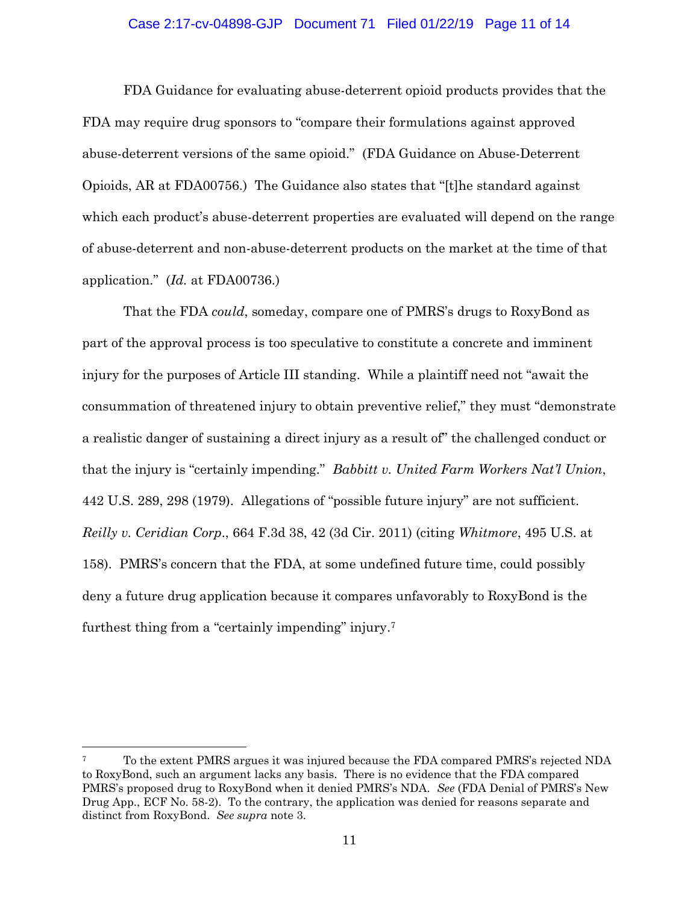#### Case 2:17-cv-04898-GJP Document 71 Filed 01/22/19 Page 11 of 14

FDA Guidance for evaluating abuse-deterrent opioid products provides that the FDA may require drug sponsors to "compare their formulations against approved abuse-deterrent versions of the same opioid." (FDA Guidance on Abuse-Deterrent Opioids, AR at FDA00756.) The Guidance also states that "[t]he standard against which each product's abuse-deterrent properties are evaluated will depend on the range of abuse-deterrent and non-abuse-deterrent products on the market at the time of that application." (*Id.* at FDA00736.)

That the FDA *could*, someday, compare one of PMRS's drugs to RoxyBond as part of the approval process is too speculative to constitute a concrete and imminent injury for the purposes of Article III standing. While a plaintiff need not "await the consummation of threatened injury to obtain preventive relief," they must "demonstrate a realistic danger of sustaining a direct injury as a result of" the challenged conduct or that the injury is "certainly impending." *Babbitt v. United Farm Workers Nat'l Union*, 442 U.S. 289, 298 (1979). Allegations of "possible future injury" are not sufficient. *Reilly v. Ceridian Corp*., 664 F.3d 38, 42 (3d Cir. 2011) (citing *Whitmore*, 495 U.S. at 158). PMRS's concern that the FDA, at some undefined future time, could possibly deny a future drug application because it compares unfavorably to RoxyBond is the furthest thing from a "certainly impending" injury. 7

<sup>7</sup> To the extent PMRS argues it was injured because the FDA compared PMRS's rejected NDA to RoxyBond, such an argument lacks any basis. There is no evidence that the FDA compared PMRS's proposed drug to RoxyBond when it denied PMRS's NDA. *See* (FDA Denial of PMRS's New Drug App., ECF No. 58-2). To the contrary, the application was denied for reasons separate and distinct from RoxyBond. *See supra* note 3.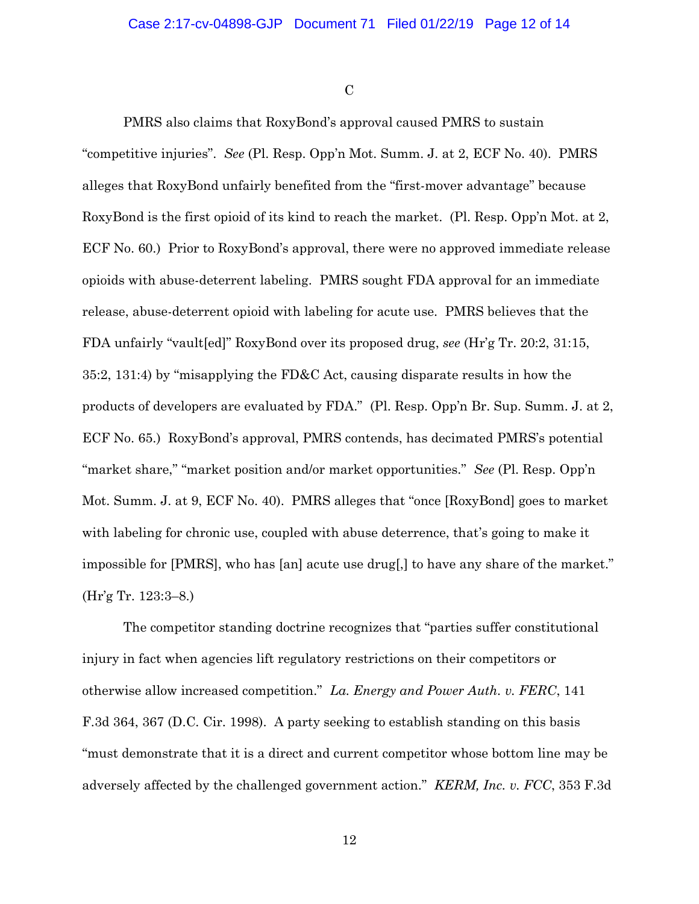$\mathcal{C}$ 

PMRS also claims that RoxyBond's approval caused PMRS to sustain "competitive injuries". *See* (Pl. Resp. Opp'n Mot. Summ. J. at 2, ECF No. 40). PMRS alleges that RoxyBond unfairly benefited from the "first-mover advantage" because RoxyBond is the first opioid of its kind to reach the market. (Pl. Resp. Opp'n Mot. at 2, ECF No. 60.) Prior to RoxyBond's approval, there were no approved immediate release opioids with abuse-deterrent labeling. PMRS sought FDA approval for an immediate release, abuse-deterrent opioid with labeling for acute use. PMRS believes that the FDA unfairly "vault[ed]" RoxyBond over its proposed drug, *see* (Hr'g Tr. 20:2, 31:15, 35:2, 131:4) by "misapplying the FD&C Act, causing disparate results in how the products of developers are evaluated by FDA." (Pl. Resp. Opp'n Br. Sup. Summ. J. at 2, ECF No. 65.) RoxyBond's approval, PMRS contends, has decimated PMRS's potential "market share," "market position and/or market opportunities." *See* (Pl. Resp. Opp'n Mot. Summ. J. at 9, ECF No. 40). PMRS alleges that "once [RoxyBond] goes to market with labeling for chronic use, coupled with abuse deterrence, that's going to make it impossible for [PMRS], who has [an] acute use drug[,] to have any share of the market." (Hr'g Tr. 123:3–8.)

The competitor standing doctrine recognizes that "parties suffer constitutional injury in fact when agencies lift regulatory restrictions on their competitors or otherwise allow increased competition." *La. Energy and Power Auth. v. FERC*, 141 F.3d 364, 367 (D.C. Cir. 1998). A party seeking to establish standing on this basis "must demonstrate that it is a direct and current competitor whose bottom line may be adversely affected by the challenged government action." *KERM, Inc. v. FCC*, 353 F.3d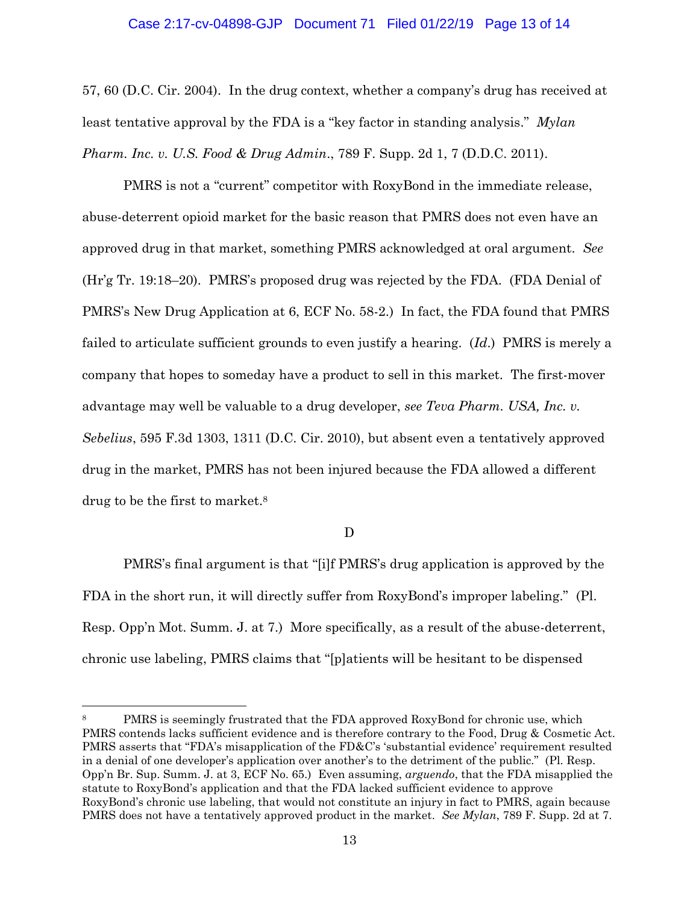#### Case 2:17-cv-04898-GJP Document 71 Filed 01/22/19 Page 13 of 14

57, 60 (D.C. Cir. 2004). In the drug context, whether a company's drug has received at least tentative approval by the FDA is a "key factor in standing analysis." *Mylan Pharm. Inc. v. U.S. Food & Drug Admin*., 789 F. Supp. 2d 1, 7 (D.D.C. 2011).

PMRS is not a "current" competitor with RoxyBond in the immediate release, abuse-deterrent opioid market for the basic reason that PMRS does not even have an approved drug in that market, something PMRS acknowledged at oral argument. *See* (Hr'g Tr. 19:18–20). PMRS's proposed drug was rejected by the FDA. (FDA Denial of PMRS's New Drug Application at 6, ECF No. 58-2.) In fact, the FDA found that PMRS failed to articulate sufficient grounds to even justify a hearing. (*Id*.) PMRS is merely a company that hopes to someday have a product to sell in this market. The first-mover advantage may well be valuable to a drug developer, *see Teva Pharm. USA, Inc. v. Sebelius*, 595 F.3d 1303, 1311 (D.C. Cir. 2010), but absent even a tentatively approved drug in the market, PMRS has not been injured because the FDA allowed a different drug to be the first to market. 8

D

PMRS's final argument is that "[i]f PMRS's drug application is approved by the FDA in the short run, it will directly suffer from RoxyBond's improper labeling." (Pl. Resp. Opp'n Mot. Summ. J. at 7.) More specifically, as a result of the abuse-deterrent, chronic use labeling, PMRS claims that "[p]atients will be hesitant to be dispensed

 $\overline{\phantom{a}}$ 

PMRS is seemingly frustrated that the FDA approved RoxyBond for chronic use, which PMRS contends lacks sufficient evidence and is therefore contrary to the Food, Drug & Cosmetic Act. PMRS asserts that "FDA's misapplication of the FD&C's 'substantial evidence' requirement resulted in a denial of one developer's application over another's to the detriment of the public." (Pl. Resp. Opp'n Br. Sup. Summ. J. at 3, ECF No. 65.) Even assuming, *arguendo*, that the FDA misapplied the statute to RoxyBond's application and that the FDA lacked sufficient evidence to approve RoxyBond's chronic use labeling, that would not constitute an injury in fact to PMRS, again because PMRS does not have a tentatively approved product in the market. *See Mylan*, 789 F. Supp. 2d at 7.